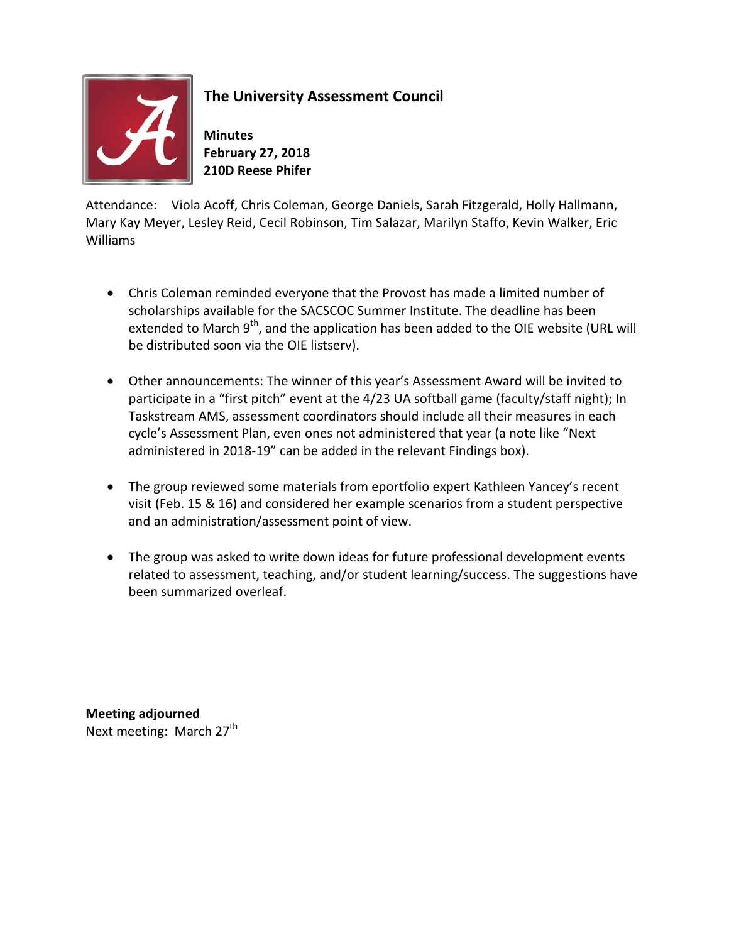

## **The University Assessment Council**

**Minutes February 27, 2018 210D Reese Phifer** 

Attendance: Viola Acoff, Chris Coleman, George Daniels, Sarah Fitzgerald, Holly Hallmann, Mary Kay Meyer, Lesley Reid, Cecil Robinson, Tim Salazar, Marilyn Staffo, Kevin Walker, Eric Williams

- Chris Coleman reminded everyone that the Provost has made a limited number of scholarships available for the SACSCOC Summer Institute. The deadline has been extended to March  $9<sup>th</sup>$ , and the application has been added to the OIE website (URL will be distributed soon via the OIE listserv).
- Other announcements: The winner of this year's Assessment Award will be invited to participate in a "first pitch" event at the 4/23 UA softball game (faculty/staff night); In Taskstream AMS, assessment coordinators should include all their measures in each cycle's Assessment Plan, even ones not administered that year (a note like "Next administered in 2018-19" can be added in the relevant Findings box).
- The group reviewed some materials from eportfolio expert Kathleen Yancey's recent visit (Feb. 15 & 16) and considered her example scenarios from a student perspective and an administration/assessment point of view.
- The group was asked to write down ideas for future professional development events related to assessment, teaching, and/or student learning/success. The suggestions have been summarized overleaf.

**Meeting adjourned** Next meeting: March  $27<sup>th</sup>$